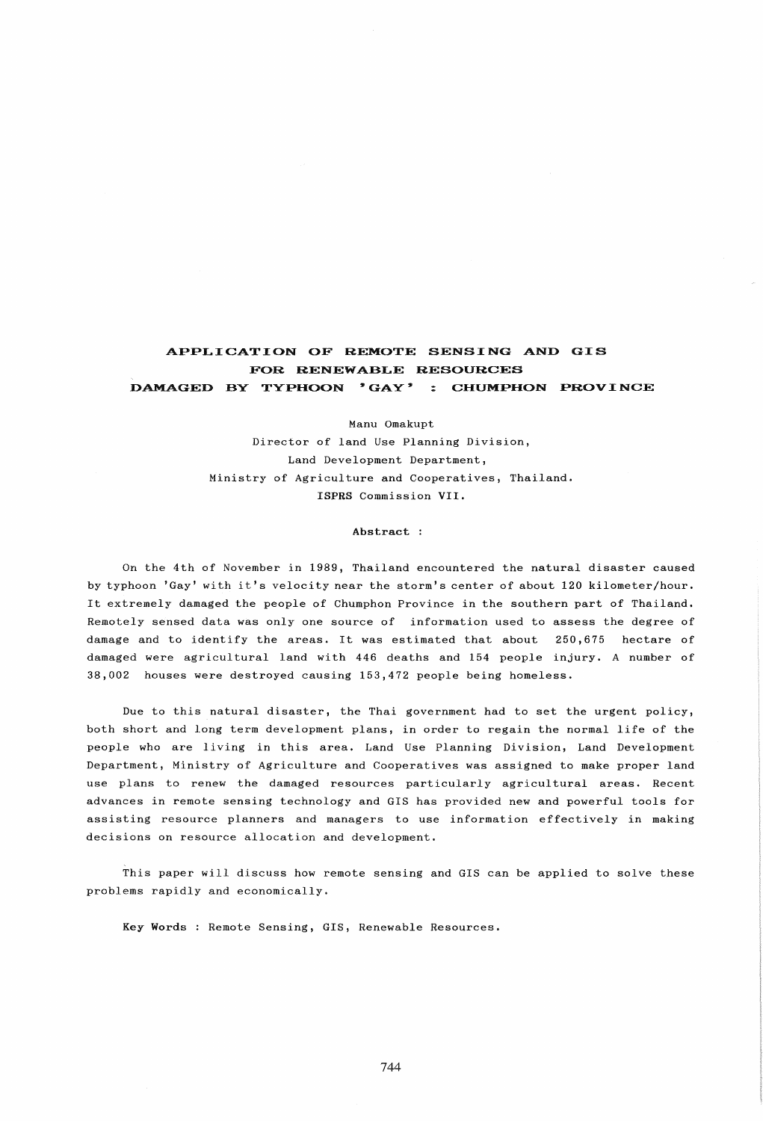# APPLICATION OF REMOTE SENSING AND GIS FOR RENEWABLE RESOURCES DAMAGED BY TYPHOON 'GAY' : CHUMPHON PROVINCE

Manu Omakupt Director of land Use Planning Division, Land Development Department, Ministry of Agriculture and Cooperatives, Thailand. ISPRS Commission VII.

Abstract:

On the 4th of November in 1989, Thailand encountered the natural disaster caused by typhoon 'Gay' wi th it's velocity near the storm's center of about 120 kilometer/hour. It extremely damaged the people of Chumphon Province in the southern part of Thailand. Remotely sensed data was only one source of information used to assess the degree of damage and to identify the areas. It was estimated that about 250,675 hectare of damaged were agricultural land with 446 deaths and 154 people injury. A number of 38,002 houses were destroyed causing 153,472 people being homeless.

Due to this natural disaster, the Thai government had to set the urgent policy, both short and long term development plans, in order to regain the normal life of the people who are living in this area. Land Use Planning Division, Land Development Department, Ministry of Agriculture and Cooperatives was assigned to make proper land use plans to renew the damaged resources particularly agricultural areas. Recent advances in remote sensing technology and GIS has provided new and powerful tools for assisting resource planners and managers to use information effectively in making decisions on resource allocation and development.

This paper will discuss how remote sensing and GIS can be applied to solve these problems rapidly and economically.

Key Words : Remote Sensing, GIS, Renewable Resources.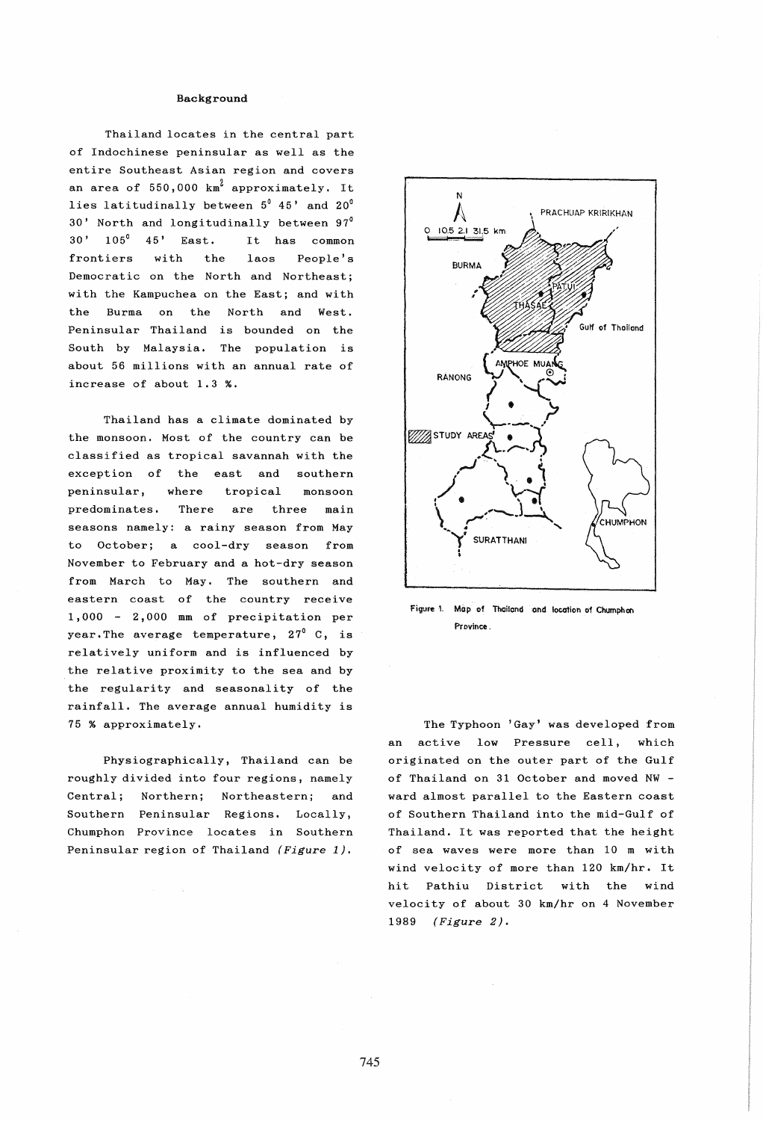## Background

Thailand locates in the central part of Indochinese peninsular as well as the entire Southeast Asian region and covers an area of  $550,000$  km<sup>2</sup> approximately. It lies latitudinally between 5<sup>0</sup> 45' and 20<sup>0</sup> 30' North and longitudinally between 97° 30' 105° 45' East. It has common frontiers with the laos People's Democratic on the North and Northeast; with the Kampuchea on the East; and with the Burma on the North and West. Peninsular Thailand is bounded on the South by Malaysia. The population is about 56 millions with an annual rate of increase of about 1.3 %.

Thailand has a climate dominated by the monsoon. Most of the country can be classified as tropical savannah with the exception of the east and southern peninsular, where tropical monsoon predominates. There are three main seasons namely: a rainy season from May to October; a cool-dry season from November to February and a hot-dry season from March to May. The southern and eastern coast of the country receive 1,000 2,000 mm of precipitation per year. The average temperature,  $27^{\circ}$  C, is relatively uniform and is influenced by the relative proximity to the sea and by the regularity and seasonality of the rainfall. The average annual humidity is 75 % approximately.

Physiographically, Thailand can be roughly divided into four regions, namely Central; Northern; Northeastern; and Southern Peninsular Regions. Locally, Chumphon Province locates in Southern Peninsular region of Thailand (Figure 1).



Figure 1. Map of Thailand and location of Chumphon Province .

The Typhoon 'Gay' was developed from an active low Pressure cell, which originated on the outer part of the Gulf of Thailand on 31 October and moved NW ward almost parallel to the Eastern coast of Southern Thailand into the mid-Gulf of Thailand. It was reported that the height of sea waves were more than 10 m with wind velocity of more than 120 km/hr. It hit Pathiu District with the wind velocity of about 30 km/hr on 4 November 1989 (Figure 2).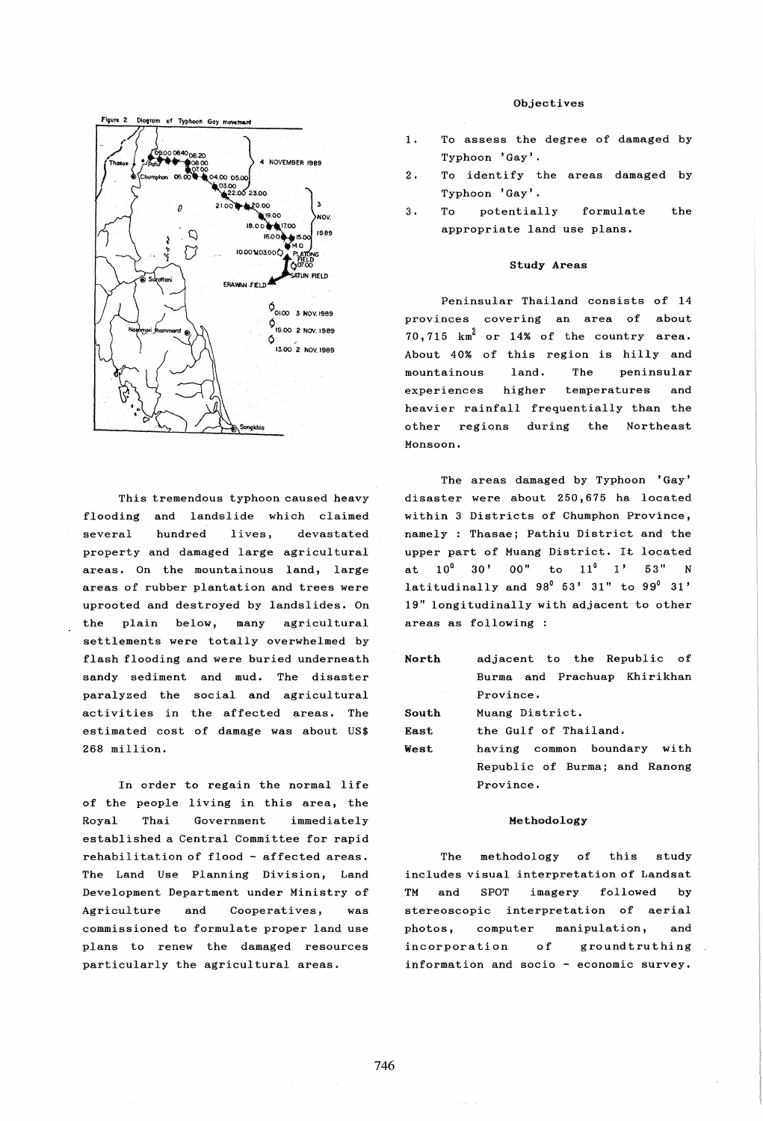

This tremendous typhoon caused heavy flooding and landslide which claimed several hundred lives, devastated property and damaged large agricultural areas. On the mountainous land, large areas of rubber plantation and trees were uprooted and destroyed by landslides. On the plain below, many agricultural settlements were totally overwhelmed by flash flooding and were buried underneath sandy sediment and mud. The disaster paralyzed the social and agricultural activities in the affected areas. The estimated cost of damage was about US\$ 268 million.

In order to regain the normal life of the people living in this area, the Royal Thai Government immediately established a Central Committee for rapid rehabilitation of flood - affected areas. The Land Use Planning Division, Land Development Department under Ministry of Agriculture and Cooperatives, was commissioned to formulate proper land use plans to renew the damaged resources particularly the agricultural areas.

## Objectives

- To assess the degree of damaged by  $1.$ Typhoon 'Gay'.
- 2. To identify the areas damaged by Typhoon 'Gay'.
- 3. To potentially formulate the appropriate land use plans.

## Study Areas

Peninsular Thailand consists of 14 provinces covering an area of about  $70,715$   $km^2$  or 14% of the country area. About 40% of this region is hilly and mountainous experiences land. higher The peninsular temperatures and heavier rainfall frequentially than the other regions during the Northeast Monsoon.

The areas damaged by Typhoon 'Gay' disaster were about 250,675 ha located within 3 Districts of Chumphon Province, namely : Thasae; Pathiu District and the upper part of Muang District. It located at  $10^0$  30' 00" to  $11^0$  1' 53" N latitudinally and  $98^{\circ}$  53' 31" to  $99^{\circ}$  31' 19" longitudinally with adjacent to other areas as following :

| North | adjacent to the Republic of   |  |  |
|-------|-------------------------------|--|--|
|       | Burma and Prachuap Khirikhan  |  |  |
|       | Province.                     |  |  |
| South | Muang District.               |  |  |
| East. | the Gulf of Thailand.         |  |  |
| West. | having common boundary with   |  |  |
|       | Republic of Burma; and Ranong |  |  |
|       | Province.                     |  |  |
|       |                               |  |  |

#### Methodology

The methodology of this study includes visual interpretation of Landsat TM and SPOT imagery followed by stereoscopic interpretation of aerial photos, computer manipulation, and incorporation of ground truthing information and socio - economic survey.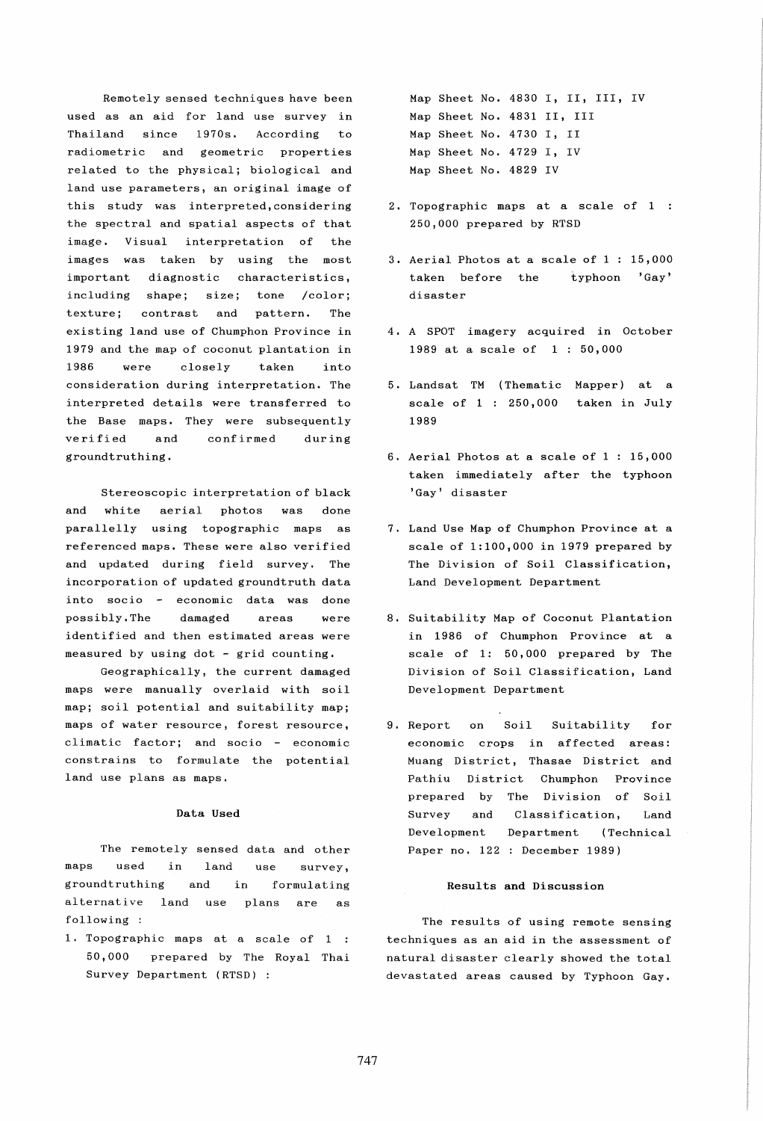Remotely sensed techniques have been used as an aid for land use survey in Thailand since 1970s. According to radiometric and geometric properties related to the physical; biological and land use parameters, an original image of this study was interpreted,considering the spectral and spatial aspects of that image. Visual interpretation of the images was taken by using the most important diagnostic characteristics, including shape; size; tone /color; texture; contrast and pattern. The existing land use of Chumphon Province in 1979 and the map of coconut plantation in 1986 were closely taken into consideration during interpretation. The interpreted details were transferred to the Base maps. They were subsequently verified and confirmed during groundtruthing.

Stereoscopic interpretation of black and white aerial photos was done parallelly using topographic maps as referenced maps. These were also verified and updated during field survey. The incorporation of updated groundtruth data into socio  $\sim$  economic data was done possibly. The damaged areas were identified and then estimated areas were measured by using dot - grid counting.

Geographically, the current damaged maps were manually overlaid with soil map; soil potential and suitability map; maps of water resource, forest resource, climatic factor; and socio - economic constrains to formulate the potential land use plans as maps.

# Data Used

The remotely sensed data and other maps used in land use survey, groundtruthing and in formulating alternative land use plans are as following :

1. Topographic maps at a scale of 1 50,000 prepared by The Royal Thai Survey Department (RTSD) :

Map Sheet No. 4830 I, II, III, IV Map Sheet No. 4831 II, III Map Sheet No. 4730 I, II Map Sheet No. 4729 I, IV Map Sheet No. 4829 IV

- 2. Topographic maps at a scale of 1 250,000 prepared by RTSD
- 3. Aerial Photos at a scale of 1 : 15,000 taken before the typhoon 'Gay' disaster
- 4. A SPOT imagery acquired in October 1989 at a scale of 1 : 50,000
- 5. Landsat TM (Thematic Mapper) at a scale of  $1:250,000$  taken in July 1989
- 6. Aerial Photos at a scale of 1 : 15,000 taken immediately after the typhoon 'Gay' disaster
- 7. Land Use Map of Chumphon Province at a scale of 1:100,000 in 1979 prepared by The Division of Soil Classification, Land Development Department
- 8. Suitability Map of Coconut Plantation in 1986 of Chumphon Province at a scale of 1: 50,000 prepared by The Division of Soil Classification, Land Development Department
- 9. Report on Soil Suitability for economic crops in affected areas: Muang District, Thasae District and Pathiu District Chumphon Province prepared by The Division of Soil Survey and Classification, Land Development Department (Technical Paper no. 122 : December 1989)

# Results and Discussion

The results of using remote sensing techniques as an aid in the assessment of natural disaster clearly showed the total devastated areas caused by Typhoon Gay.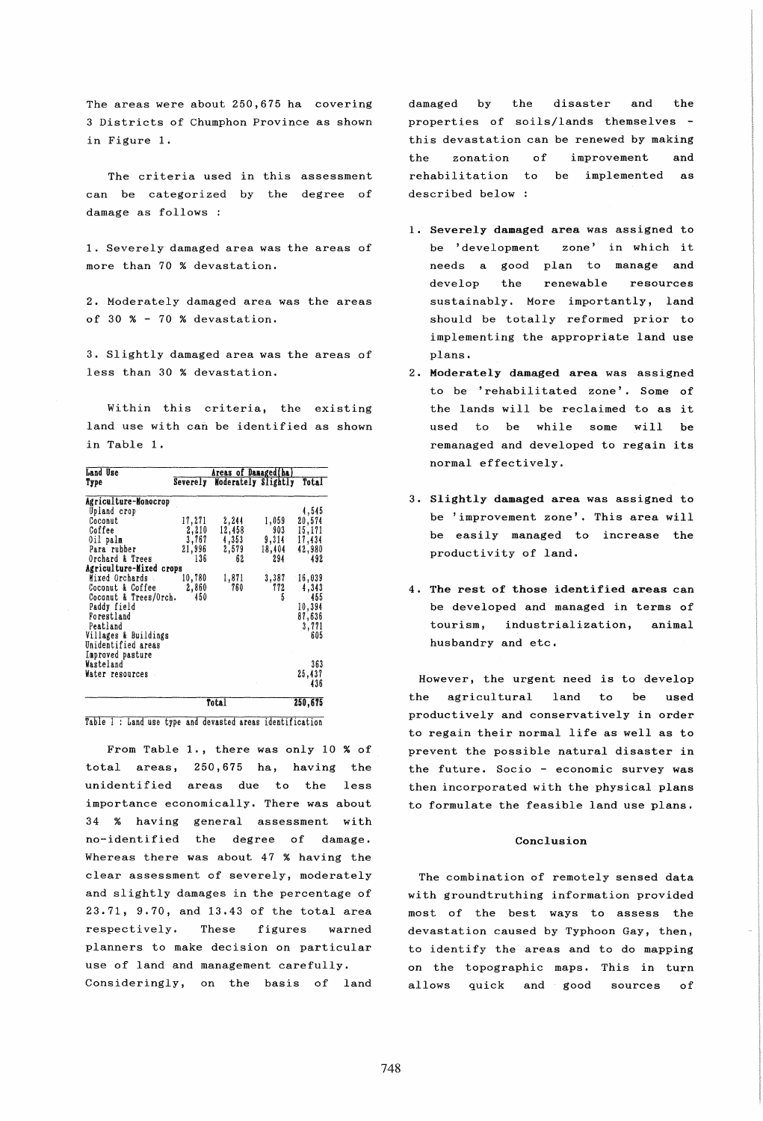The areas were about 250,675 ha covering 3 Districts of Chumphon Province as shown in Figure 1.

The criteria used in this assessment can be categorized by the degree of damage as follows :

1. Severely damaged area was the areas of more than 70 % devastation.

2. Moderately damaged area was the areas of 30 % - 70 % devastation.

3. Slightly damaged area was the areas of less than 30 % devastation.

Within this criteria, the existing land use with can be identified as shown in Table 1.

| Land Use                | Areas of Damaged(ha) |                     |        |         |
|-------------------------|----------------------|---------------------|--------|---------|
| Type                    | Severely             | Moderately Slightly |        | Total   |
| Agriculture-Monocrop    |                      |                     |        |         |
| Upland crop             |                      |                     |        | 4,545   |
| Coconut                 | 17,271               | 2,244               | 1,059  | 20,574  |
| Coffee                  | 2,210                | 12,458              | 903    | 15,171  |
| Oil palm                | 3,767                | 4,353               | 9,314  | 17,434  |
| Para rubber             | 21,996               | 2,579               | 18,404 | 42,980  |
| Orchard & Trees         | 136                  | 62                  | 294    | 492     |
| Agriculture-Mixed crops |                      |                     |        |         |
| Mixed Orchards          | 10,780               | 1,871               | 3,387  | 16,039  |
| Coconut & Coffee        | 2,860                | 760                 | 772    | 4,343   |
| Coconut & Trees/Orch.   | 450                  |                     | 5      | 455     |
| Paddy field             |                      |                     |        | 10,394  |
| Forestland              |                      |                     |        | 87,636  |
| Peatland                |                      |                     |        | 3,771   |
| Villages & Buildings    |                      |                     |        | 605     |
| Unidentified areas      |                      |                     |        |         |
| Improved pasture        |                      |                     |        |         |
| Wasteland               |                      |                     |        | 363     |
| Water resources         |                      |                     |        | 25,437  |
|                         |                      |                     |        | 436     |
|                         |                      |                     |        |         |
|                         |                      | Total               |        | 250,675 |

Table 1 : Land use type and devasted areas identification

From Table 1., there was only 10 % of total areas, 250,675 ha, having the unidentified areas due to the less importance economically. There was about 34 % having general assessment with no-identified the degree of damage. Whereas there was about 47 % having the clear assessment of severely, moderately and slightly damages in the percentage of 23.71, 9.70, and 13.43 of the total area respectively. These figures warned planners to make decision on particular use of land and management carefully, Consideringly, on the basis of land damaged by the disaster and the properties of soils/lands themselves this devastation can be renewed by making the zonation of improvement and rehabilitation to be implemented as described below

- 1. Severely damaged area was assigned to be 'development zone' in which it needs a good plan to manage and develop the renewable resources sustainably. More importantly, land should be totally reformed prior to implementing the appropriate land use plans.
- 2. Moderately damaged area was assigned to be 'rehabilitated zone'. Some of the lands will be reclaimed to as it used to be while some will be remanaged and developed to regain its normal effectively,
- 3. Slightly damaged area was assigned to be 'improvement zone', This area will be easily managed to increase the productivity of land.
- 4. The rest of those identified areas can be developed and managed in terms of tourism, industrialization, animal husbandry and etc.

However, the urgent need is to develop the agricultural land to be used productively and conservatively in order to regain their normal life as well as to prevent the possible natural disaster in the future. Socio - economic survey was then incorporated with the physical plans to formulate the feasible land use plans.

# Conclusion

The combination of remotely sensed data with groundtruthing information provided most of the best ways to assess the devastation caused by Typhoon Gay, then, to identify the areas and to do mapping on the topographic maps. This in turn allows quick and good sources of